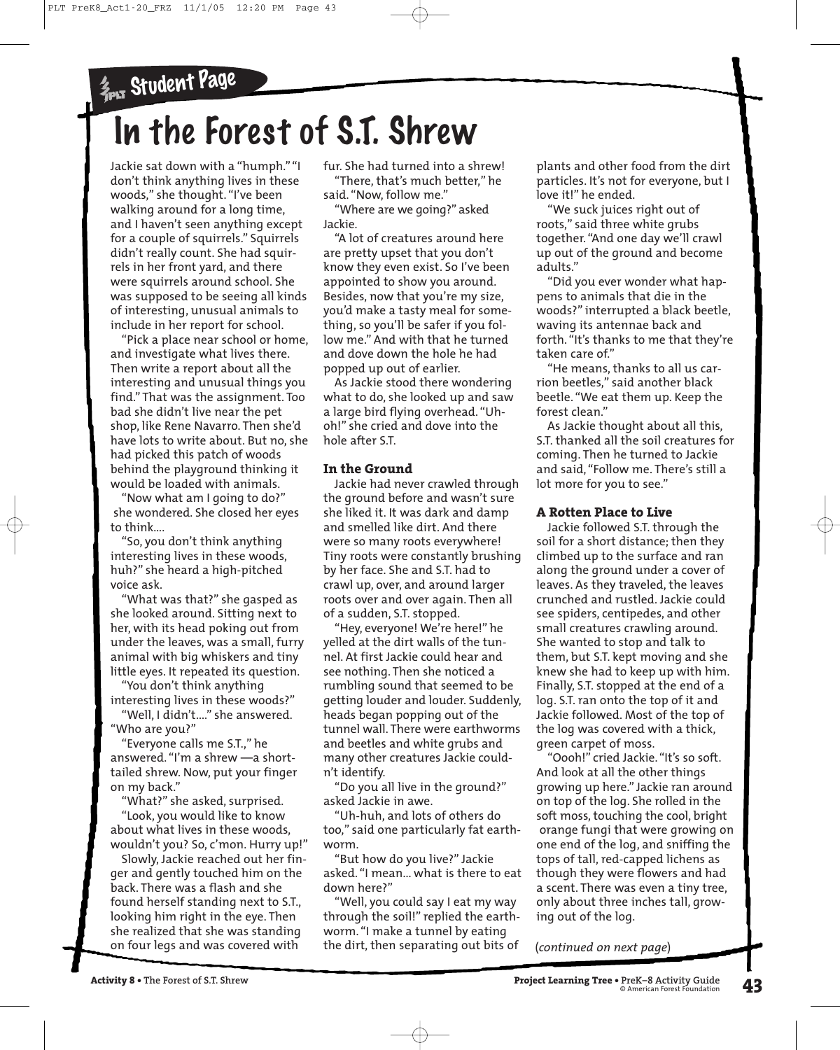# In the Forest of S.T. Shrew

Jackie sat down with a "humph." "I don't think anything lives in these <sup>w</sup>oods," she thought. "I've been walking around for a long time, and I haven't seen anything except for a couple of squirrels." Squirrels didn't really count. She had squirrels in her front yard, and there <sup>w</sup>ere squirrels around school. She was supposed to be seeing all kinds of interesting, <sup>u</sup>nusual animals to include in her report for school.

"Pick a place near school or home, and investigate what lives there. Then write a report about all the interesting and unusual things you find." That was the assignment. Too bad she didn't live near the pet shop, like Rene Navarro. Then she'd have lots to <sup>w</sup>rite about. But no, she had picked this patch of woods behind the playground thinking it <sup>w</sup>ould be loaded with animals.

"Now what am I going to do?" she wondered. She closed her eyes to think….

"So, you don't think anything interesting lives in these woods, huh?" she heard a high-pitched voice ask.

"What was that?" she gasped as she looked around. Sitting next to her, <sup>w</sup>ith its head poking out from <sup>u</sup>nder the leaves, was a small, furry animal with big whiskers and tiny little eyes. It repeated its question.

"You don't think anything interesting lives in these woods?"

"Well, I didn't...." she answered. "Who are you?"

"Everyone calls me S.T.," he answered. "I'm a shrew —a shorttailed shrew. Now, put your finger on my back."

"What?" she asked, surprised.

"Look, you <sup>w</sup>ould like to know about <sup>w</sup>hat lives in these woods, <sup>w</sup>ouldn't you? So, c'mon. Hurry <sup>u</sup>p!"

Slowly, Jackie reached out her finger and gently touched him on the back. There was a flash and she found herself standing next to S.T., looking him right in the eye. Then she realized that she was standing on four legs and was covered with

fur. She had turned into a shrew! "There, that's much better," he

said. "Now, follow me." "Where are we going?" asked Jackie.

"A lot of creatures around here are pretty <sup>u</sup>pset that you don't know they even exist. So I've been appointed to show you around. Besides, now that you're my size, you'd make a tasty meal for something, so you'll be safer if you follow me." And with that he turned and dove down the hole he had popped up out of earlier.

As Jackie stood there wondering <sup>w</sup>hat to do, she looked up and saw a large bird flying overhead. "Uhoh!" she cried and dove into the hole after S.T.

## **In the Ground**

Jackie had never crawled through the ground before and wasn't sure she liked it. It was dark and damp and smelled like dirt. And there <sup>w</sup>ere so many roots everywhere! Tiny roots were constantly brushing by her face. She and S.T. had to crawl up, over, and around larger roots over and over again. Then all of a sudden, S.T. stopped.

"Hey, everyone! We're here!" he yelled at the dirt walls of the tunnel. At first Jackie could hear and see nothing. Then she noticed a rumbling sound that seemed to be getting louder and louder. Suddenly, heads began popping out of the tunnel wall. There were earthworms and beetles and white grubs and many other creatures Jackie couldn't identify.

"Do you all live in the ground?" asked Jackie in awe.

"Uh-huh, and lots of others do too," said one particularly fat earth<sup>w</sup>orm.

"But how do you live?" Jackie asked. "I mean... <sup>w</sup>hat is there to eat down here?"

"Well, you could say I eat my way through the soil!" replied the earth<sup>w</sup>orm. "I make a tunnel by eating the dirt, then separating out bits of

plants and other food from the dirt particles. It's not for everyone, but I love it!" he ended.

"We suck juices right out of roots," said three white grubs together. "And one day <sup>w</sup>e'll crawl <sup>u</sup>p out of the ground and become adults."

"Did you ever wonder what happens to animals that die in the <sup>w</sup>oods?" interrupted a black beetle, waving its antennae back and forth. "It's thanks to me that they're taken care of."

"He means, thanks to all us carrion beetles," said another black beetle. "We eat them <sup>u</sup>p. Keep the forest clean."

As Jackie thought about all this, S.T. thanked all the soil creatures for coming. Then he turned to Jackie and said, "Follow me. There's still a lot more for you to see."

## **A Rotten Place to Live**

Jackie followed S.T. through the soil for a short distance; then they climbed up to the surface and ran along the ground under a cover of leaves. As they traveled, the leaves crunched and rustled. Jackie could see spiders, centipedes, and other small creatures crawling around. She wanted to stop and talk to them, but S.T. kept moving and she knew she had to keep up with him. Finally, S.T. stopped at the end of a log. S.T. ran onto the top of it and Jackie followed. Most of the top of the log was covered with a thick, green carpet of moss.

"Oooh!" cried Jackie. "It's so soft. And look at all the other things growing up here." Jackie ran around on top of the log. She rolled in the soft moss, touching the cool, bright orange fungi that <sup>w</sup>ere growing on one end of the log, and sniffing the tops of tall, red-capped lichens as though they were flowers and had a scent. There was even a tiny tree, only about three inches tall, growing out of the log.

(*continued on next page*)